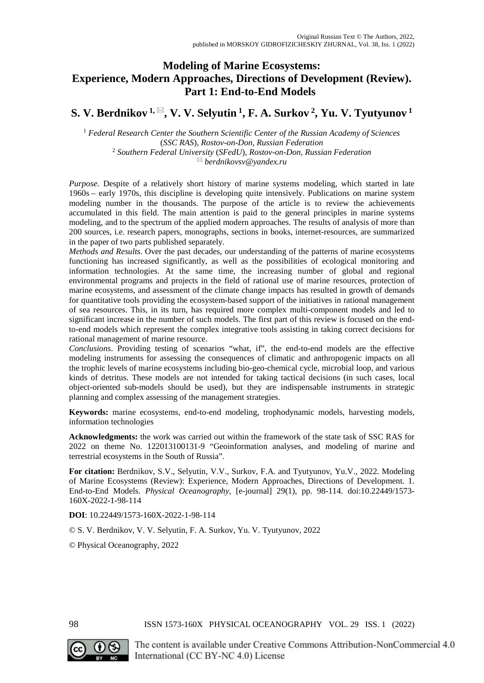# **Modeling of Marine Ecosystems: Experience, Modern Approaches, Directions of Development (Review). Part 1: End-to-End Models**

# **S. V. Berdnikov** <sup>1,  $\boxtimes$ </sup>, **V. V. Selyutin** <sup>1</sup>, **F. A. Surkov** <sup>2</sup>, **Yu. V. Tyutyunov** <sup>1</sup>

<sup>1</sup> *Federal Research Center the Southern Scientific Center of the Russian Academy of Sciences* (*SSC RAS*)*, Rostov-on-Don, Russian Federation* <sup>2</sup> *Southern Federal University* (*SFedU*)*, Rostov-on-Don, Russian Federation berdnikovsv@yandex.ru*

*Purpose*. Despite of a relatively short history of marine systems modeling, which started in late 1960s – early 1970s, this discipline is developing quite intensively. Publications on marine system modeling number in the thousands. The purpose of the article is to review the achievements accumulated in this field. The main attention is paid to the general principles in marine systems modeling, and to the spectrum of the applied modern approaches. The results of analysis of more than 200 sources, i.e. research papers, monographs, sections in books, internet-resources, are summarized in the paper of two parts published separately.

*Methods and Results*. Over the past decades, our understanding of the patterns of marine ecosystems functioning has increased significantly, as well as the possibilities of ecological monitoring and information technologies. At the same time, the increasing number of global and regional environmental programs and projects in the field of rational use of marine resources, protection of marine ecosystems, and assessment of the climate change impacts has resulted in growth of demands for quantitative tools providing the ecosystem-based support of the initiatives in rational management of sea resources. This, in its turn, has required more complex multi-component models and led to significant increase in the number of such models. The first part of this review is focused on the endto-end models which represent the complex integrative tools assisting in taking correct decisions for rational management of marine resource.

*Conclusions*. Providing testing of scenarios "what, if", the end-to-end models are the effective modeling instruments for assessing the consequences of climatic and anthropogenic impacts on all the trophic levels of marine ecosystems including bio-geo-chemical cycle, microbial loop, and various kinds of detritus. These models are not intended for taking tactical decisions (in such cases, local object-oriented sub-models should be used), but they are indispensable instruments in strategic planning and complex assessing of the management strategies.

**Keywords:** marine ecosystems, end-to-end modeling, trophodynamic models, harvesting models, information technologies

**Acknowledgments:** the work was carried out within the framework of the state task of SSC RAS for 2022 on theme No. 122013100131-9 "Geoinformation analyses, and modeling of marine and terrestrial ecosystems in the South of Russia".

**For citation:** Berdnikov, S.V., Selyutin, V.V., Surkov, F.A. and Tyutyunov, Yu.V., 2022. Modeling of Marine Ecosystems (Review): Experience, Modern Approaches, Directions of Development. 1. End-to-End Models. *Physical Oceanography*, [e-journal] 29(1), pp. 98-114. doi:10.22449/1573- 160X-2022-1-98-114

**DOI**: 10.22449/1573-160X-2022-1-98-114

© S. V. Berdnikov, V. V. Selyutin, F. A. Surkov, Yu. V. Tyutyunov, 2022

© Physical Oceanography, 2022

98 ISSN 1573-160X PHYSICAL OCEANOGRAPHY VOL. 29 ISS. 1 (2022)



The content is available under Creative Commons Attribution-NonCommercial 4.0 International (CC BY-NC 4.0) License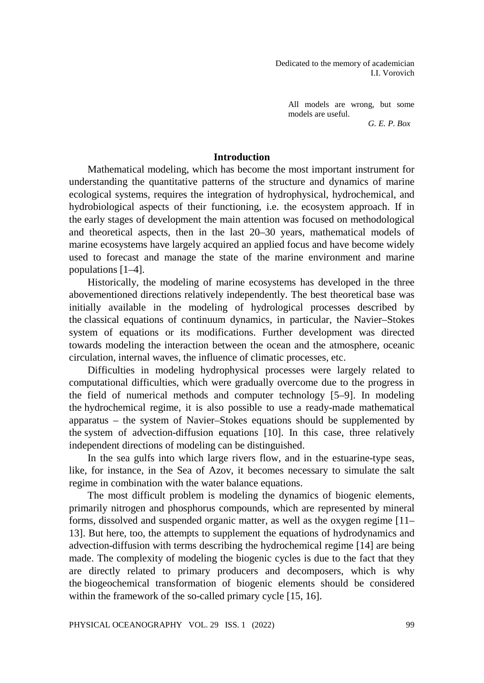Dedicated to the memory of academician I.I. Vorovich

All models are wrong, but some models are useful. *G. E. P. Box* 

## **Introduction**

Mathematical modeling, which has become the most important instrument for understanding the quantitative patterns of the structure and dynamics of marine ecological systems, requires the integration of hydrophysical, hydrochemical, and hydrobiological aspects of their functioning, i.e. the ecosystem approach. If in the early stages of development the main attention was focused on methodological and theoretical aspects, then in the last 20–30 years, mathematical models of marine ecosystems have largely acquired an applied focus and have become widely used to forecast and manage the state of the marine environment and marine populations [1–4].

Historically, the modeling of marine ecosystems has developed in the three abovementioned directions relatively independently. The best theoretical base was initially available in the modeling of hydrological processes described by the classical equations of continuum dynamics, in particular, the Navier–Stokes system of equations or its modifications. Further development was directed towards modeling the interaction between the ocean and the atmosphere, oceanic circulation, internal waves, the influence of climatic processes, etc.

Difficulties in modeling hydrophysical processes were largely related to computational difficulties, which were gradually overcome due to the progress in the field of numerical methods and computer technology [5–9]. In modeling the hydrochemical regime, it is also possible to use a ready-made mathematical apparatus – the system of Navier–Stokes equations should be supplemented by the system of advection-diffusion equations [10]. In this case, three relatively independent directions of modeling can be distinguished.

In the sea gulfs into which large rivers flow, and in the estuarine-type seas, like, for instance, in the Sea of Azov, it becomes necessary to simulate the salt regime in combination with the water balance equations.

The most difficult problem is modeling the dynamics of biogenic elements, primarily nitrogen and phosphorus compounds, which are represented by mineral forms, dissolved and suspended organic matter, as well as the oxygen regime [11– 13]. But here, too, the attempts to supplement the equations of hydrodynamics and advection-diffusion with terms describing the hydrochemical regime [14] are being made. The complexity of modeling the biogenic cycles is due to the fact that they are directly related to primary producers and decomposers, which is why the biogeochemical transformation of biogenic elements should be considered within the framework of the so-called primary cycle [15, 16].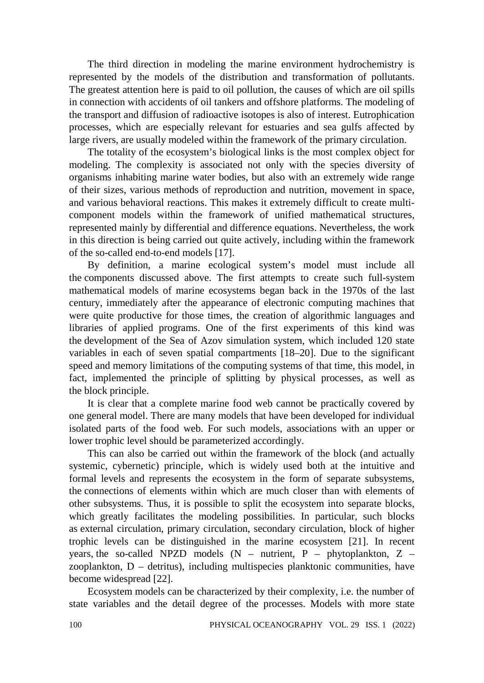The third direction in modeling the marine environment hydrochemistry is represented by the models of the distribution and transformation of pollutants. The greatest attention here is paid to oil pollution, the causes of which are oil spills in connection with accidents of oil tankers and offshore platforms. The modeling of the transport and diffusion of radioactive isotopes is also of interest. Eutrophication processes, which are especially relevant for estuaries and sea gulfs affected by large rivers, are usually modeled within the framework of the primary circulation.

The totality of the ecosystem's biological links is the most complex object for modeling. The complexity is associated not only with the species diversity of organisms inhabiting marine water bodies, but also with an extremely wide range of their sizes, various methods of reproduction and nutrition, movement in space, and various behavioral reactions. This makes it extremely difficult to create multicomponent models within the framework of unified mathematical structures, represented mainly by differential and difference equations. Nevertheless, the work in this direction is being carried out quite actively, including within the framework of the so-called end-to-end models [17].

By definition, a marine ecological system's model must include all the components discussed above. The first attempts to create such full-system mathematical models of marine ecosystems began back in the 1970s of the last century, immediately after the appearance of electronic computing machines that were quite productive for those times, the creation of algorithmic languages and libraries of applied programs. One of the first experiments of this kind was the development of the Sea of Azov simulation system, which included 120 state variables in each of seven spatial compartments [18–20]. Due to the significant speed and memory limitations of the computing systems of that time, this model, in fact, implemented the principle of splitting by physical processes, as well as the block principle.

It is clear that a complete marine food web cannot be practically covered by one general model. There are many models that have been developed for individual isolated parts of the food web. For such models, associations with an upper or lower trophic level should be parameterized accordingly.

This can also be carried out within the framework of the block (and actually systemic, cybernetic) principle, which is widely used both at the intuitive and formal levels and represents the ecosystem in the form of separate subsystems, the connections of elements within which are much closer than with elements of other subsystems. Thus, it is possible to split the ecosystem into separate blocks, which greatly facilitates the modeling possibilities. In particular, such blocks as external circulation, primary circulation, secondary circulation, block of higher trophic levels can be distinguished in the marine ecosystem [21]. In recent years, the so-called NPZD models  $(N -$  nutrient, P – phytoplankton, Z – zooplankton, D – detritus), including multispecies planktonic communities, have become widespread [22].

Ecosystem models can be characterized by their complexity, i.e. the number of state variables and the detail degree of the processes. Models with more state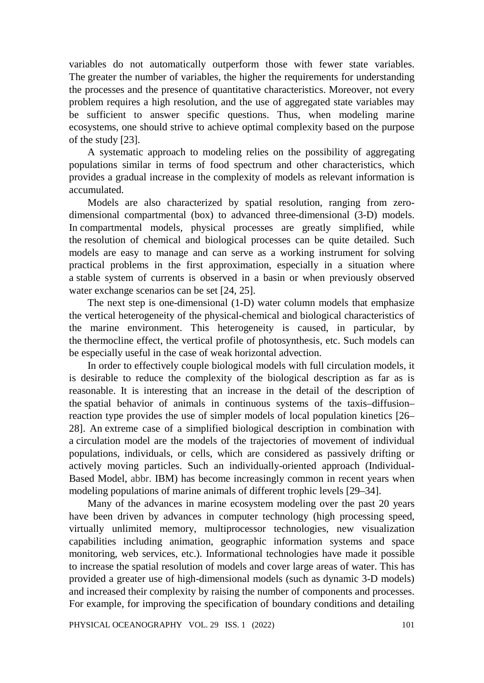variables do not automatically outperform those with fewer state variables. The greater the number of variables, the higher the requirements for understanding the processes and the presence of quantitative characteristics. Moreover, not every problem requires a high resolution, and the use of aggregated state variables may be sufficient to answer specific questions. Thus, when modeling marine ecosystems, one should strive to achieve optimal complexity based on the purpose of the study [23].

A systematic approach to modeling relies on the possibility of aggregating populations similar in terms of food spectrum and other characteristics, which provides a gradual increase in the complexity of models as relevant information is accumulated.

Models are also characterized by spatial resolution, ranging from zerodimensional compartmental (box) to advanced three-dimensional (3-D) models. In compartmental models, physical processes are greatly simplified, while the resolution of chemical and biological processes can be quite detailed. Such models are easy to manage and can serve as a working instrument for solving practical problems in the first approximation, especially in a situation where a stable system of currents is observed in a basin or when previously observed water exchange scenarios can be set [24, 25].

The next step is one-dimensional (1-D) water column models that emphasize the vertical heterogeneity of the physical-chemical and biological characteristics of the marine environment. This heterogeneity is caused, in particular, by the thermocline effect, the vertical profile of photosynthesis, etc. Such models can be especially useful in the case of weak horizontal advection.

In order to effectively couple biological models with full circulation models, it is desirable to reduce the complexity of the biological description as far as is reasonable. It is interesting that an increase in the detail of the description of the spatial behavior of animals in continuous systems of the taxis–diffusion– reaction type provides the use of simpler models of local population kinetics [26– 28]. An extreme case of a simplified biological description in combination with a circulation model are the models of the trajectories of movement of individual populations, individuals, or cells, which are considered as passively drifting or actively moving particles. Such an individually-oriented approach (Individual-Based Model, abbr. IBM) has become increasingly common in recent years when modeling populations of marine animals of different trophic levels [29–34].

Many of the advances in marine ecosystem modeling over the past 20 years have been driven by advances in computer technology (high processing speed, virtually unlimited memory, multiprocessor technologies, new visualization capabilities including animation, geographic information systems and space monitoring, web services, etc.). Informational technologies have made it possible to increase the spatial resolution of models and cover large areas of water. This has provided a greater use of high-dimensional models (such as dynamic 3-D models) and increased their complexity by raising the number of components and processes. For example, for improving the specification of boundary conditions and detailing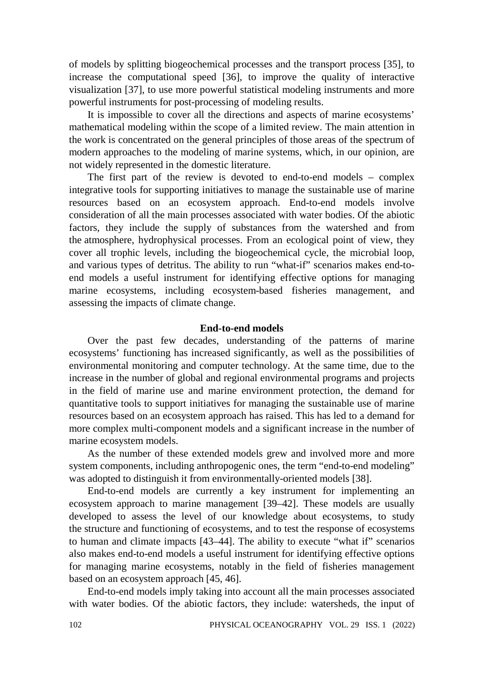of models by splitting biogeochemical processes and the transport process [35], to increase the computational speed [36], to improve the quality of interactive visualization [37], to use more powerful statistical modeling instruments and more powerful instruments for post-processing of modeling results.

It is impossible to cover all the directions and aspects of marine ecosystems' mathematical modeling within the scope of a limited review. The main attention in the work is concentrated on the general principles of those areas of the spectrum of modern approaches to the modeling of marine systems, which, in our opinion, are not widely represented in the domestic literature.

The first part of the review is devoted to end-to-end models – complex integrative tools for supporting initiatives to manage the sustainable use of marine resources based on an ecosystem approach. End-to-end models involve consideration of all the main processes associated with water bodies. Of the abiotic factors, they include the supply of substances from the watershed and from the atmosphere, hydrophysical processes. From an ecological point of view, they cover all trophic levels, including the biogeochemical cycle, the microbial loop, and various types of detritus. The ability to run "what-if" scenarios makes end-toend models a useful instrument for identifying effective options for managing marine ecosystems, including ecosystem-based fisheries management, and assessing the impacts of climate change.

## **End-to-end models**

Over the past few decades, understanding of the patterns of marine ecosystems' functioning has increased significantly, as well as the possibilities of environmental monitoring and computer technology. At the same time, due to the increase in the number of global and regional environmental programs and projects in the field of marine use and marine environment protection, the demand for quantitative tools to support initiatives for managing the sustainable use of marine resources based on an ecosystem approach has raised. This has led to a demand for more complex multi-component models and a significant increase in the number of marine ecosystem models.

As the number of these extended models grew and involved more and more system components, including anthropogenic ones, the term "end-to-end modeling" was adopted to distinguish it from environmentally-oriented models [38].

End-to-end models are currently a key instrument for implementing an ecosystem approach to marine management [39–42]. These models are usually developed to assess the level of our knowledge about ecosystems, to study the structure and functioning of ecosystems, and to test the response of ecosystems to human and climate impacts [43–44]. The ability to execute "what if" scenarios also makes end-to-end models a useful instrument for identifying effective options for managing marine ecosystems, notably in the field of fisheries management based on an ecosystem approach [45, 46].

End-to-end models imply taking into account all the main processes associated with water bodies. Of the abiotic factors, they include: watersheds, the input of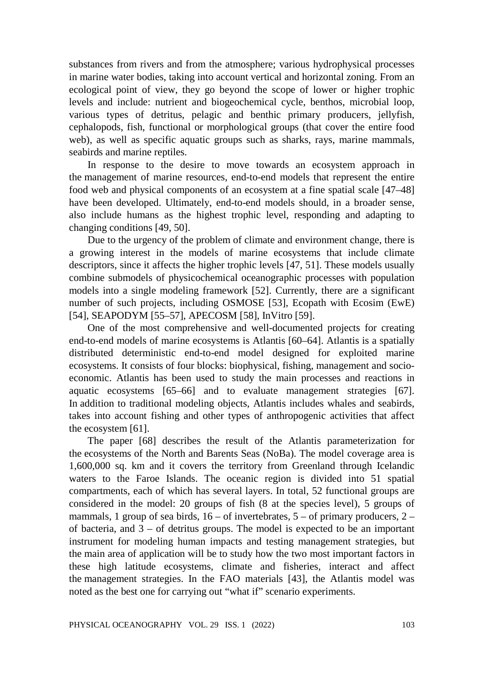substances from rivers and from the atmosphere; various hydrophysical processes in marine water bodies, taking into account vertical and horizontal zoning. From an ecological point of view, they go beyond the scope of lower or higher trophic levels and include: nutrient and biogeochemical cycle, benthos, microbial loop, various types of detritus, pelagic and benthic primary producers, jellyfish, cephalopods, fish, functional or morphological groups (that cover the entire food web), as well as specific aquatic groups such as sharks, rays, marine mammals, seabirds and marine reptiles.

In response to the desire to move towards an ecosystem approach in the management of marine resources, end-to-end models that represent the entire food web and physical components of an ecosystem at a fine spatial scale [47–48] have been developed. Ultimately, end-to-end models should, in a broader sense, also include humans as the highest trophic level, responding and adapting to changing conditions [49, 50].

Due to the urgency of the problem of climate and environment change, there is a growing interest in the models of marine ecosystems that include climate descriptors, since it affects the higher trophic levels [47, 51]. These models usually combine submodels of physicochemical oceanographic processes with population models into a single modeling framework [52]. Currently, there are a significant number of such projects, including OSMOSE [53], Ecopath with Ecosim (EwE) [54], SEAPODYM [55–57], APECOSM [58], InVitro [59].

One of the most comprehensive and well-documented projects for creating end-to-end models of marine ecosystems is Atlantis [60–64]. Atlantis is a spatially distributed deterministic end-to-end model designed for exploited marine ecosystems. It consists of four blocks: biophysical, fishing, management and socioeconomic. Atlantis has been used to study the main processes and reactions in aquatic ecosystems [65–66] and to evaluate management strategies [67]. In addition to traditional modeling objects, Atlantis includes whales and seabirds, takes into account fishing and other types of anthropogenic activities that affect the ecosystem [61].

The paper [68] describes the result of the Atlantis parameterization for the ecosystems of the North and Barents Seas (NoBa). The model coverage area is 1,600,000 sq. km and it covers the territory from Greenland through Icelandic waters to the Faroe Islands. The oceanic region is divided into 51 spatial compartments, each of which has several layers. In total, 52 functional groups are considered in the model: 20 groups of fish (8 at the species level), 5 groups of mammals, 1 group of sea birds,  $16 - of$  invertebrates,  $5 - of$  primary producers,  $2$ of bacteria, and  $3 -$  of detritus groups. The model is expected to be an important instrument for modeling human impacts and testing management strategies, but the main area of application will be to study how the two most important factors in these high latitude ecosystems, climate and fisheries, interact and affect the management strategies. In the FAO materials [43], the Atlantis model was noted as the best one for carrying out "what if" scenario experiments.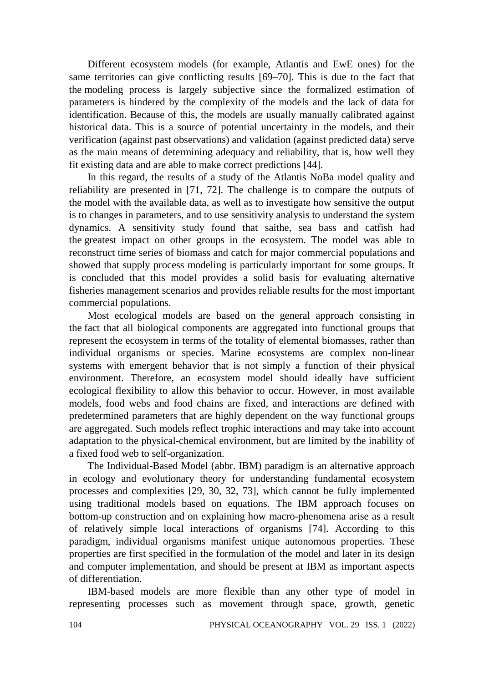Different ecosystem models (for example, Atlantis and EwE ones) for the same territories can give conflicting results [69–70]. This is due to the fact that the modeling process is largely subjective since the formalized estimation of parameters is hindered by the complexity of the models and the lack of data for identification. Because of this, the models are usually manually calibrated against historical data. This is a source of potential uncertainty in the models, and their verification (against past observations) and validation (against predicted data) serve as the main means of determining adequacy and reliability, that is, how well they fit existing data and are able to make correct predictions [44].

In this regard, the results of a study of the Atlantis NoBa model quality and reliability are presented in [71, 72]. The challenge is to compare the outputs of the model with the available data, as well as to investigate how sensitive the output is to changes in parameters, and to use sensitivity analysis to understand the system dynamics. A sensitivity study found that saithe, sea bass and catfish had the greatest impact on other groups in the ecosystem. The model was able to reconstruct time series of biomass and catch for major commercial populations and showed that supply process modeling is particularly important for some groups. It is concluded that this model provides a solid basis for evaluating alternative fisheries management scenarios and provides reliable results for the most important commercial populations.

Most ecological models are based on the general approach consisting in the fact that all biological components are aggregated into functional groups that represent the ecosystem in terms of the totality of elemental biomasses, rather than individual organisms or species. Marine ecosystems are complex non-linear systems with emergent behavior that is not simply a function of their physical environment. Therefore, an ecosystem model should ideally have sufficient ecological flexibility to allow this behavior to occur. However, in most available models, food webs and food chains are fixed, and interactions are defined with predetermined parameters that are highly dependent on the way functional groups are aggregated. Such models reflect trophic interactions and may take into account adaptation to the physical-chemical environment, but are limited by the inability of a fixed food web to self-organization.

The Individual-Based Model (abbr. IBM) paradigm is an alternative approach in ecology and evolutionary theory for understanding fundamental ecosystem processes and complexities [29, 30, 32, 73], which cannot be fully implemented using traditional models based on equations. The IBM approach focuses on bottom-up construction and on explaining how macro-phenomena arise as a result of relatively simple local interactions of organisms [74]. According to this paradigm, individual organisms manifest unique autonomous properties. These properties are first specified in the formulation of the model and later in its design and computer implementation, and should be present at IBM as important aspects of differentiation.

IBM-based models are more flexible than any other type of model in representing processes such as movement through space, growth, genetic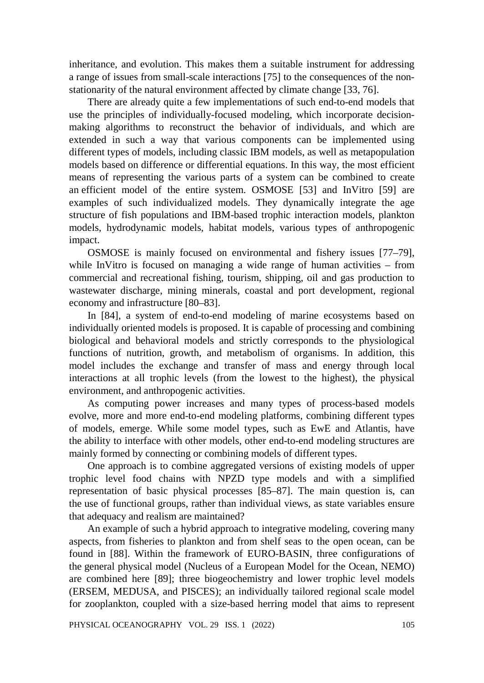inheritance, and evolution. This makes them a suitable instrument for addressing a range of issues from small-scale interactions [75] to the consequences of the nonstationarity of the natural environment affected by climate change [33, 76].

There are already quite a few implementations of such end-to-end models that use the principles of individually-focused modeling, which incorporate decisionmaking algorithms to reconstruct the behavior of individuals, and which are extended in such a way that various components can be implemented using different types of models, including classic IBM models, as well as metapopulation models based on difference or differential equations. In this way, the most efficient means of representing the various parts of a system can be combined to create an efficient model of the entire system. OSMOSE [53] and InVitro [59] are examples of such individualized models. They dynamically integrate the age structure of fish populations and IBM-based trophic interaction models, plankton models, hydrodynamic models, habitat models, various types of anthropogenic impact.

OSMOSE is mainly focused on environmental and fishery issues [77–79], while InVitro is focused on managing a wide range of human activities – from commercial and recreational fishing, tourism, shipping, oil and gas production to wastewater discharge, mining minerals, coastal and port development, regional economy and infrastructure [80–83].

In [84], a system of end-to-end modeling of marine ecosystems based on individually oriented models is proposed. It is capable of processing and combining biological and behavioral models and strictly corresponds to the physiological functions of nutrition, growth, and metabolism of organisms. In addition, this model includes the exchange and transfer of mass and energy through local interactions at all trophic levels (from the lowest to the highest), the physical environment, and anthropogenic activities.

As computing power increases and many types of process-based models evolve, more and more end-to-end modeling platforms, combining different types of models, emerge. While some model types, such as EwE and Atlantis, have the ability to interface with other models, other end-to-end modeling structures are mainly formed by connecting or combining models of different types.

One approach is to combine aggregated versions of existing models of upper trophic level food chains with NPZD type models and with a simplified representation of basic physical processes [85–87]. The main question is, can the use of functional groups, rather than individual views, as state variables ensure that adequacy and realism are maintained?

An example of such a hybrid approach to integrative modeling, covering many aspects, from fisheries to plankton and from shelf seas to the open ocean, can be found in [88]. Within the framework of EURO-BASIN, three configurations of the general physical model (Nucleus of a European Model for the Ocean, NEMO) are combined here [89]; three biogeochemistry and lower trophic level models (ERSEM, MEDUSA, and PISCES); an individually tailored regional scale model for zooplankton, coupled with a size-based herring model that aims to represent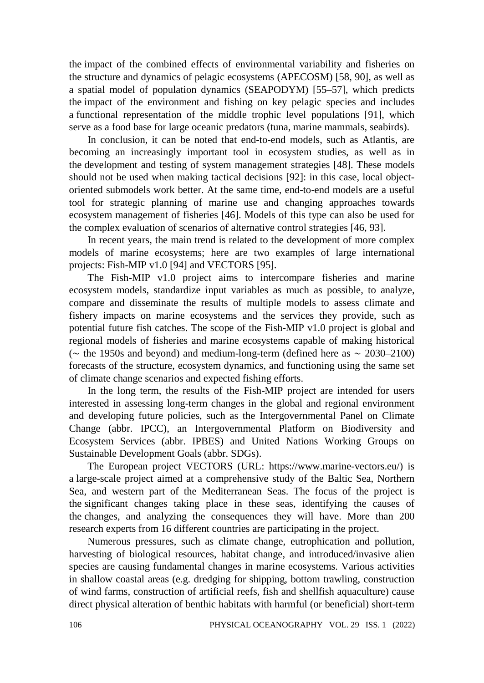the impact of the combined effects of environmental variability and fisheries on the structure and dynamics of pelagic ecosystems (APECOSM) [58, 90], as well as a spatial model of population dynamics (SEAPODYM) [55–57], which predicts the impact of the environment and fishing on key pelagic species and includes a functional representation of the middle trophic level populations [91], which serve as a food base for large oceanic predators (tuna, marine mammals, seabirds).

In conclusion, it can be noted that end-to-end models, such as Atlantis, are becoming an increasingly important tool in ecosystem studies, as well as in the development and testing of system management strategies [48]. These models should not be used when making tactical decisions [92]: in this case, local objectoriented submodels work better. At the same time, end-to-end models are a useful tool for strategic planning of marine use and changing approaches towards ecosystem management of fisheries [46]. Models of this type can also be used for the complex evaluation of scenarios of alternative control strategies [46, 93].

In recent years, the main trend is related to the development of more complex models of marine ecosystems; here are two examples of large international projects: Fish-MIP v1.0 [94] and VECTORS [95].

The Fish-MIP v1.0 project aims to intercompare fisheries and marine ecosystem models, standardize input variables as much as possible, to analyze, compare and disseminate the results of multiple models to assess climate and fishery impacts on marine ecosystems and the services they provide, such as potential future fish catches. The scope of the Fish-MIP v1.0 project is global and regional models of fisheries and marine ecosystems capable of making historical (∼ the 1950s and beyond) and medium-long-term (defined here as ∼ 2030–2100) forecasts of the structure, ecosystem dynamics, and functioning using the same set of climate change scenarios and expected fishing efforts.

In the long term, the results of the Fish-MIP project are intended for users interested in assessing long-term changes in the global and regional environment and developing future policies, such as the Intergovernmental Panel on Climate Change (abbr. IPCC), an Intergovernmental Platform on Biodiversity and Ecosystem Services (abbr. IPBES) and United Nations Working Groups on Sustainable Development Goals (abbr. SDGs).

The European project VECTORS (URL: https://www.marine-vectors.eu/) is a large-scale project aimed at a comprehensive study of the Baltic Sea, Northern Sea, and western part of the Mediterranean Seas. The focus of the project is the significant changes taking place in these seas, identifying the causes of the changes, and analyzing the consequences they will have. More than 200 research experts from 16 different countries are participating in the project.

Numerous pressures, such as climate change, eutrophication and pollution, harvesting of biological resources, habitat change, and introduced/invasive alien species are causing fundamental changes in marine ecosystems. Various activities in shallow coastal areas (e.g. dredging for shipping, bottom trawling, construction of wind farms, construction of artificial reefs, fish and shellfish aquaculture) cause direct physical alteration of benthic habitats with harmful (or beneficial) short-term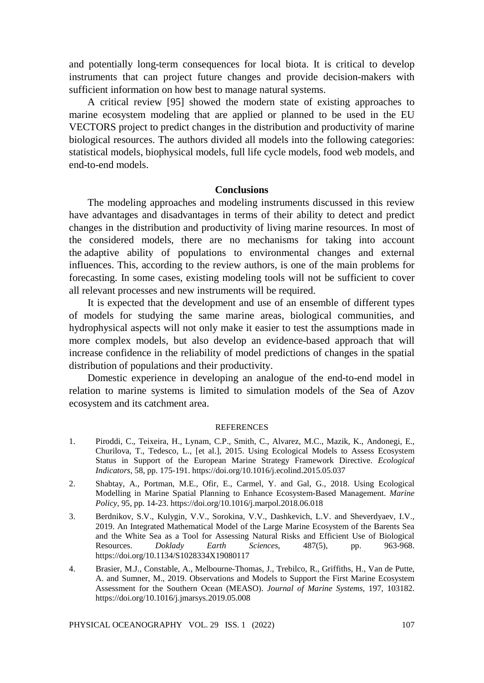and potentially long-term consequences for local biota. It is critical to develop instruments that can project future changes and provide decision-makers with sufficient information on how best to manage natural systems.

A critical review [95] showed the modern state of existing approaches to marine ecosystem modeling that are applied or planned to be used in the EU VECTORS project to predict changes in the distribution and productivity of marine biological resources. The authors divided all models into the following categories: statistical models, biophysical models, full life cycle models, food web models, and end-to-end models.

### **Conclusions**

The modeling approaches and modeling instruments discussed in this review have advantages and disadvantages in terms of their ability to detect and predict changes in the distribution and productivity of living marine resources. In most of the considered models, there are no mechanisms for taking into account the adaptive ability of populations to environmental changes and external influences. This, according to the review authors, is one of the main problems for forecasting. In some cases, existing modeling tools will not be sufficient to cover all relevant processes and new instruments will be required.

It is expected that the development and use of an ensemble of different types of models for studying the same marine areas, biological communities, and hydrophysical aspects will not only make it easier to test the assumptions made in more complex models, but also develop an evidence-based approach that will increase confidence in the reliability of model predictions of changes in the spatial distribution of populations and their productivity.

Domestic experience in developing an analogue of the end-to-end model in relation to marine systems is limited to simulation models of the Sea of Azov ecosystem and its catchment area.

#### **REFERENCES**

- 1. Piroddi, C., Teixeira, H., Lynam, C.P., Smith, C., Alvarez, M.C., Mazik, K., Andonegi, E., Churilova, T., Tedesco, L., [et al.], 2015. Using Ecological Models to Assess Ecosystem Status in Support of the European Marine Strategy Framework Directive. *Ecological Indicators*, 58, pp. 175-191. https://doi.org/10.1016/j.ecolind.2015.05.037
- 2. Shabtay, A., Portman, M.E., Ofir, E., Carmel, Y. and Gal, G., 2018. Using Ecological Modelling in Marine Spatial Planning to Enhance Ecosystem-Based Management. *Marine Policy*, 95, pp. 14-23. https://doi.org/10.1016/j.marpol.2018.06.018
- 3. Berdnikov, S.V., Kulygin, V.V., Sorokina, V.V., Dashkevich, L.V. and Sheverdyaev, I.V., 2019. An Integrated Mathematical Model of the Large Marine Ecosystem of the Barents Sea and the White Sea as a Tool for Assessing Natural Risks and Efficient Use of Biological Resources. *Doklady Earth Sciences*, 487(5), pp. 963-968. https://doi.org/10.1134/S1028334X19080117
- 4. Brasier, M.J., Constable, A., Melbourne-Thomas, J., Trebilco, R., Griffiths, H., Van de Putte, A. and Sumner, M., 2019. Observations and Models to Support the First Marine Ecosystem Assessment for the Southern Ocean (MEASO). *Journal of Marine Systems*, 197, 103182. https://doi.org/10.1016/j.jmarsys.2019.05.008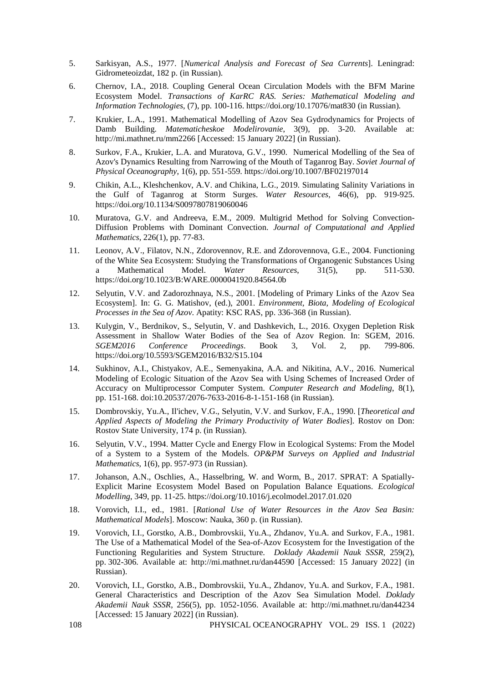- 5. Sarkisyan, A.S., 1977. [*Numerical Analysis and Forecast of Sea Currents*]. Leningrad: Gidrometeoizdat, 182 p. (in Russian).
- 6. Chernov, I.A., 2018. Coupling General Ocean Circulation Models with the BFM Marine Ecosystem Model. *Transactions of KarRC RAS. Series: Mathematical Modeling and Information Technologies*, (7), pp. 100-116. https://doi.org/10.17076/mat830 (in Russian).
- 7. Krukier, L.A., 1991. Mathematical Modelling of Azov Sea Gydrodynamics for Projects of Damb Building. *Matematicheskoe Modelirovanie*, 3(9), pp. 3-20. Available at: http://mi.mathnet.ru/mm2266 [Accessed: 15 January 2022] (in Russian).
- 8. Surkov, F.A., Krukier, L.A. and Muratova, G.V., 1990. Numerical Modelling of the Sea of Azov's Dynamics Resulting from Narrowing of the Mouth of Taganrog Bay. *Soviet Journal of Physical Oceanography*, 1(6), pp. 551-559. https://doi.org/10.1007/BF02197014
- 9. Chikin, A.L., Kleshchenkov, A.V. and Chikina, L.G., 2019. Simulating Salinity Variations in the Gulf of Taganrog at Storm Surges. *Water Resources*, 46(6), pp. 919-925. https://doi.org/10.1134/S0097807819060046
- 10. Muratova, G.V. and Andreeva, E.M., 2009. Multigrid Method for Solving Convection-Diffusion Problems with Dominant Convection. *Journal of Computational and Applied Mathematics*, 226(1), pp. 77-83.
- 11. Leonov, A.V., Filatov, N.N., Zdorovennov, R.E. and Zdorovennova, G.E., 2004. Functioning of the White Sea Ecosystem: Studying the Transformations of Organogenic Substances Using a Mathematical Model. *Water Resources*, 31(5), pp. 511-530. https://doi.org/10.1023/B:WARE.0000041920.84564.0b
- 12. Selyutin, V.V. and Zadorozhnaya, N.S., 2001. [Modeling of Primary Links of the Azov Sea Ecosystem]. In: G. G. Matishov, (ed.), 2001. *Environment, Biota, Modeling of Ecological Processes in the Sea of Azov*. Apatity: KSC RAS, pp. 336-368 (in Russian).
- 13. Kulygin, V., Berdnikov, S., Selyutin, V. and Dashkevich, L., 2016. Oxygen Depletion Risk Assessment in Shallow Water Bodies of the Sea of Azov Region. In: SGEM, 2016. *SGEM2016 Conference Proceedings*. Book 3, Vol. 2, pp. 799-806. https://doi.org/10.5593/SGEM2016/B32/S15.104
- 14. Sukhinov, A.I., Chistyakov, A.E., Semenyakina, A.A. and Nikitina, A.V., 2016. Numerical Modeling of Ecologic Situation of the Azov Sea with Using Schemes of Increased Order of Accuracy on Multiprocessor Computer System. *Computer Research and Modeling*, 8(1), pp. 151-168. doi:10.20537/2076-7633-2016-8-1-151-168 (in Russian).
- 15. Dombrovskiy, Yu.A., Il'ichev, V.G., Selyutin, V.V. and Surkov, F.A., 1990. [*Theoretical and Applied Aspects of Modeling the Primary Productivity of Water Bodies*]. Rostov on Don: Rostov State University, 174 p. (in Russian).
- 16. Selyutin, V.V., 1994. Matter Cycle and Energy Flow in Ecological Systems: From the Model of a System to a System of the Models. *OP&PM Surveys on Applied and Industrial Mathematics*, 1(6), pp. 957-973 (in Russian).
- 17. Johanson, A.N., Oschlies, A., Hasselbring, W. and Worm, B., 2017. SPRAT: A Spatially-Explicit Marine Ecosystem Model Based on Population Balance Equations. *Ecological Modelling*, 349, pp. 11-25. https://doi.org/10.1016/j.ecolmodel.2017.01.020
- 18. Vorovich, I.I., ed., 1981. [*Rational Use of Water Resources in the Azov Sea Basin: Mathematical Models*]. Moscow: Nauka, 360 p. (in Russian).
- 19. Vorovich, I.I., Gorstko, A.B., Dombrovskii, Yu.A., Zhdanov, Yu.A. and Surkov, F.A., 1981. The Use of a Mathematical Model of the Sea-of-Azov Ecosystem for the Investigation of the Functioning Regularities and System Structure. *Doklady Akademii Nauk SSSR*, 259(2), pp. 302-306. Available at: http://mi.mathnet.ru/dan44590 [Accessed: 15 January 2022] (in Russian).
- 20. Vorovich, I.I., Gorstko, A.B., Dombrovskii, Yu.A., Zhdanov, Yu.A. and Surkov, F.A., 1981. General Characteristics and Description of the Azov Sea Simulation Model. *Doklady Akademii Nauk SSSR*, 256(5), pp. 1052-1056. Available at: http://mi.mathnet.ru/dan44234 [Accessed: 15 January 2022] (in Russian).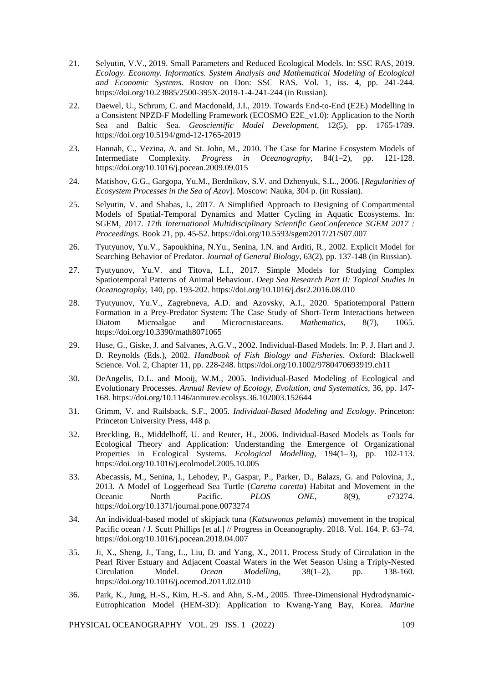- 21. Selyutin, V.V., 2019. Small Parameters and Reduced Ecological Models. In: SSC RAS, 2019. *Ecology. Economy. Informatics. System Analysis and Mathematical Modeling of Ecological and Economic Systems*. Rostov on Don: SSC RAS. Vol. 1, iss. 4, pp. 241-244. <https://doi.org/10.23885/2500-395X-2019-1-4-241-244> (in Russian).
- 22. Daewel, U., Schrum, C. and Macdonald, J.I., 2019. Towards End-to-End (E2E) Modelling in a Consistent NPZD-F Modelling Framework (ECOSMO E2E\_v1.0): Application to the North Sea and Baltic Sea. *Geoscientific Model Development*, 12(5), pp. 1765-1789. <https://doi.org/10.5194/gmd-12-1765-2019>
- 23. Hannah, C., Vezina, A. and St. John, M., 2010. The Case for Marine Ecosystem Models of Intermediate Complexity. *Progress in Oceanography*, 84(1–2), pp. 121-128. https://doi.org/10.1016/j.pocean.2009.09.015
- 24. Matishov, G.G., Gargopa, Yu.M., Berdnikov, S.V. and Dzhenyuk, S.L., 2006. [*Regularities of Ecosystem Processes in the Sea of Azov*]. Moscow: Nauka, 304 p. (in Russian).
- 25. Selyutin, V. and Shabas, I., 2017. A Simplified Approach to Designing of Compartmental Models of Spatial-Temporal Dynamics and Matter Cycling in Aquatic Ecosystems. In: SGEM, 2017. *17th International Multidisciplinary Scientific GeoConference SGEM 2017 : Proceedings*. Book 21, pp. 45-52.<https://doi.org/10.5593/sgem2017/21/S07.007>
- 26. Tyutyunov, Yu.V., Sapoukhina, N.Yu., Senina, I.N. and Arditi, R., 2002. Explicit Model for Searching Behavior of Predator. *Journal of General Biology*, 63(2), pp. 137-148 (in Russian).
- 27. Tyutyunov, Yu.V. and Titova, L.I., 2017. Simple Models for Studying Complex Spatiotemporal Patterns of Animal Behaviour. *Deep Sea Research Part II: Topical Studies in Oceanography*, 140, pp. 193-202.<https://doi.org/10.1016/j.dsr2.2016.08.010>
- 28. Tyutyunov, Yu.V., Zagrebneva, A.D. and Azovsky, A.I., 2020. Spatiotemporal Pattern Formation in a Prey-Predator System: The Case Study of Short-Term Interactions between Diatom Microalgae and Microcrustaceans. *Mathematics*, 8(7), 1065. <https://doi.org/10.3390/math8071065>
- 29. Huse, G., Giske, J. and Salvanes, A.G.V., 2002. Individual-Based Models. In: P. J. Hart and J. D. Reynolds (Eds.), 2002. *Handbook of Fish Biology and Fisheries*. Oxford: Blackwell Science. Vol. 2, Chapter 11, pp. 228-248. https://doi.org/10.1002/9780470693919.ch11
- 30. DeAngelis, D.L. and Mooij, W.M., 2005. Individual-Based Modeling of Ecological and Evolutionary Processes. *Annual Review of Ecology, Evolution, and Systematics*, 36, pp. 147- 168. https://doi.org/10.1146/annurev.ecolsys.36.102003.152644
- 31. Grimm, V. and Railsback, S.F., 2005. *Individual-Based Modeling and Ecology*. Princeton: Princeton University Press, 448 p.
- 32. Breckling, B., Middelhoff, U. and Reuter, H., 2006. Individual-Based Models as Tools for Ecological Theory and Application: Understanding the Emergence of Organizational Properties in Ecological Systems. *Ecological Modelling*, 194(1–3), pp. 102-113. https://doi.org/10.1016/j.ecolmodel.2005.10.005
- 33. Abecassis, M., Senina, I., Lehodey, P., Gaspar, P., Parker, D., Balazs, G. and Polovina, J., 2013. A Model of Loggerhead Sea Turtle (*Caretta caretta*) Habitat and Movement in the Oceanic North Pacific. *PLOS ONE*, 8(9), e73274. <https://doi.org/10.1371/journal.pone.0073274>
- 34. An individual-based model of skipjack tuna (*Katsuwonus pelamis*) movement in the tropical Pacific ocean / J. Scutt Phillips [et al.] // Progress in Oceanography. 2018. Vol. 164. P. 63–74. <https://doi.org/10.1016/j.pocean.2018.04.007>
- 35. Ji, X., Sheng, J., Tang, L., Liu, D. and Yang, X., 2011. Process Study of Circulation in the Pearl River Estuary and Adjacent Coastal Waters in the Wet Season Using a Triply-Nested Circulation Model. *Ocean Modelling*, 38(1–2), pp. 138-160. https://doi.org/10.1016/j.ocemod.2011.02.010
- 36. Park, K., Jung, H.-S., Kim, H.-S. and Ahn, S.-M., 2005. Three-Dimensional Hydrodynamic-Eutrophication Model (HEM-3D): Application to Kwang-Yang Bay, Korea. *Marine*

PHYSICAL OCEANOGRAPHY VOL. 29 ISS. 1 (2022) 109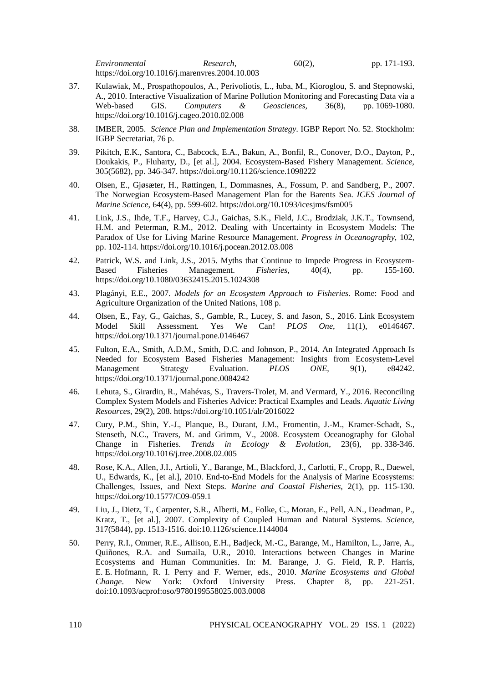*Environmental Research*, 60(2), pp. 171-193. https://doi.org/10.1016/j.marenvres.2004.10.003

- 37. Kulawiak, M., Prospathopoulos, A., Perivoliotis, L., łuba, M., Kioroglou, S. and Stepnowski, A., 2010. Interactive Visualization of Marine Pollution Monitoring and Forecasting Data via a Web-based GIS. Computers & Geosciences, 36(8), pp. 1069-1080. pp. 1069-1080. https://doi.org/10.1016/j.cageo.2010.02.008
- 38. IMBER, 2005. *Science Plan and Implementation Strategy*. IGBP Report No. 52. Stockholm: IGBP Secretariat, 76 p.
- 39. Pikitch, E.K., Santora, C., Babcock, E.A., Bakun, A., Bonfil, R., Conover, D.O., Dayton, P., Doukakis, P., Fluharty, D., [et al.], 2004. Ecosystem-Based Fishery Management. *Science*, 305(5682), pp. 346-347.<https://doi.org/10.1126/science.1098222>
- 40. Olsen, E., Gjøsæter, H., Røttingen, I., Dommasnes, A., Fossum, P. and Sandberg, P., 2007. The Norwegian Ecosystem-Based Management Plan for the Barents Sea. *ICES Journal of Marine Science*, 64(4), pp. 599-602. https://doi.org/10.1093/icesjms/fsm005
- 41. Link, J.S., Ihde, T.F., Harvey, C.J., Gaichas, S.K., Field, J.C., Brodziak, J.K.T., Townsend, H.M. and Peterman, R.M., 2012. Dealing with Uncertainty in Ecosystem Models: The Paradox of Use for Living Marine Resource Management. *Progress in Oceanography*, 102, pp. 102-114. https://doi.org/10.1016/j.pocean.2012.03.008
- 42. Patrick, W.S. and Link, J.S., 2015. Myths that Continue to Impede Progress in Ecosystem-Based Fisheries Management. *Fisheries*, 40(4), pp. 155-160. https://doi.org/10.1080/03632415.2015.1024308
- 43. Plagányi, E.E., 2007. *Models for an Ecosystem Approach to Fisheries*. Rome: Food and Agriculture Organization of the United Nations, 108 p.
- 44. Olsen, E., Fay, G., Gaichas, S., Gamble, R., Lucey, S. and Jason, S., 2016. Link Ecosystem Model Skill Assessment. Yes We Can! *PLOS One*. 11(1). e0146467. Model Skill Assessment. Yes We Can! *PLOS One*, 11(1), e0146467. https://doi.org/10.1371/journal.pone.0146467
- 45. Fulton, E.A., Smith, A.D.M., Smith, D.C. and Johnson, P., 2014. An Integrated Approach Is Needed for Ecosystem Based Fisheries Management: Insights from Ecosystem-Level Management Strategy Evaluation. *PLOS ONE*, 9(1), e84242. <https://doi.org/10.1371/journal.pone.0084242>
- 46. Lehuta, S., Girardin, R., Mahévas, S., Travers-Trolet, M. and Vermard, Y., 2016. Reconciling Complex System Models and Fisheries Advice: Practical Examples and Leads. *Aquatic Living Resources*, 29(2), 208. https://doi.org/10.1051/alr/2016022
- 47. Cury, P.M., Shin, Y.-J., Planque, B., Durant, J.M., Fromentin, J.-M., Kramer-Schadt, S., Stenseth, N.C., Travers, M. and Grimm, V., 2008. Ecosystem Oceanography for Global Change in Fisheries. *Trends in Ecology & Evolution*, 23(6), pp. 338-346. https://doi.org/10.1016/j.tree.2008.02.005
- 48. Rose, K.A., Allen, J.I., Artioli, Y., Barange, M., Blackford, J., Carlotti, F., Cropp, R., Daewel, U., Edwards, K., [et al.], 2010. End-to-End Models for the Analysis of Marine Ecosystems: Challenges, Issues, and Next Steps. *Marine and Coastal Fisheries*, 2(1), pp. 115-130. <https://doi.org/10.1577/C09-059.1>
- 49. Liu, J., Dietz, T., Carpenter, S.R., Alberti, M., Folke, C., Moran, E., Pell, A.N., Deadman, P., Kratz, T., [et al.], 2007. Complexity of Coupled Human and Natural Systems. *Science*, 317(5844), pp. 1513-1516. doi:10.1126/science.1144004
- 50. Perry, R.I., Ommer, R.E., Allison, E.H., Badjeck, M.‐C., Barange, M., Hamilton, L., Jarre, A., Quiñones, R.A. and Sumaila, U.R., 2010. Interactions between Changes in Marine Ecosystems and Human Communities. In: M. Barange, J. G. Field, R. P. Harris, E. E. Hofmann, R. I. Perry and F. Werner, eds., 2010. *Marine Ecosystems and Global Change*. New York: Oxford University Press. Chapter 8, pp. 221-251. doi:10.1093/acprof:oso/9780199558025.003.0008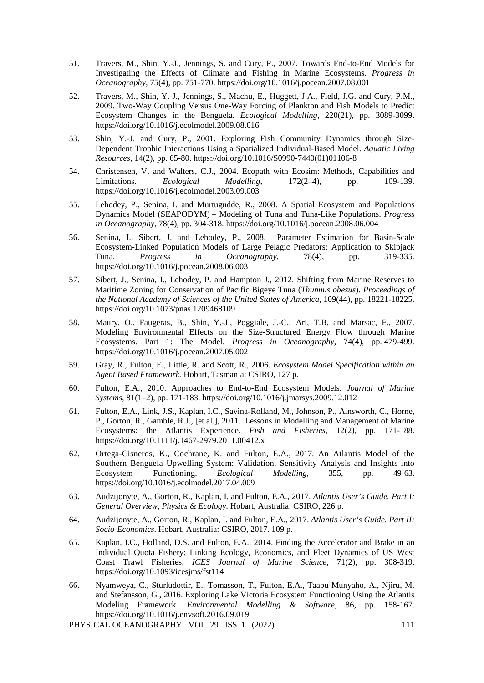- 51. Travers, M., Shin, Y.-J., Jennings, S. and Cury, P., 2007. Towards End-to-End Models for Investigating the Effects of Climate and Fishing in Marine Ecosystems. *Progress in Oceanography*, 75(4), pp. 751-770. https://doi.org/10.1016/j.pocean.2007.08.001
- 52. Travers, M., Shin, Y.-J., Jennings, S., Machu, E., Huggett, J.A., Field, J.G. and Cury, P.M., 2009. Two-Way Coupling Versus One-Way Forcing of Plankton and Fish Models to Predict Ecosystem Changes in the Benguela. *Ecological Modelling*, 220(21), pp. 3089-3099. https://doi.org/10.1016/j.ecolmodel.2009.08.016
- 53. Shin, Y.-J. and Cury, P., 2001. Exploring Fish Community Dynamics through Size-Dependent Trophic Interactions Using a Spatialized Individual-Based Model. *Aquatic Living Resources*, 14(2), pp. 65-80. https://doi.org/10.1016/S0990-7440(01)01106-8
- 54. Christensen, V. and Walters, C.J., 2004. Ecopath with Ecosim: Methods, Capabilities and Limitations. *Ecological Modelling*, 172(2–4), pp. 109-139. Limitations. *Ecological Modelling*, 172(2–4), pp. 109-139. https://doi.org/10.1016/j.ecolmodel.2003.09.003
- 55. Lehodey, P., Senina, I. and Murtugudde, R., 2008. A Spatial Ecosystem and Populations Dynamics Model (SEAPODYM) – Modeling of Tuna and Tuna-Like Populations. *Progress in Oceanography*, 78(4), pp. 304-318. https://doi.org/10.1016/j.pocean.2008.06.004
- 56. Senina, I., Sibert, J. and Lehodey, P., 2008. Parameter Estimation for Basin-Scale Ecosystem-Linked Population Models of Large Pelagic Predators: Application to Skipjack Tuna. *Progress in Oceanography*, 78(4), pp. 319-335. https://doi.org/10.1016/j.pocean.2008.06.003
- 57. Sibert, J., Senina, I., Lehodey, P. and Hampton J., 2012. Shifting from Marine Reserves to Maritime Zoning for Conservation of Pacific Bigeye Tuna (*Thunnus obesus*). *Proceedings of the National Academy of Sciences of the United States of America*, 109(44), pp. 18221-18225. https://doi.org/10.1073/pnas.1209468109
- 58. Maury, O., Faugeras, B., Shin, Y.-J., Poggiale, J.-C., Ari, T.B. and Marsac, F., 2007. Modeling Environmental Effects on the Size-Structured Energy Flow through Marine Ecosystems. Part 1: The Model. *Progress in Oceanography*, 74(4), pp. 479-499. https://doi.org/10.1016/j.pocean.2007.05.002
- 59. Gray, R., Fulton, E., Little, R. and Scott, R., 2006. *Ecosystem Model Specification within an Agent Based Framework.* Hobart, Tasmania: CSIRO, 127 p.
- 60. Fulton, E.A., 2010. Approaches to End-to-End Ecosystem Models. *Journal of Marine Systems*, 81(1–2), pp. 171-183. https://doi.org/10.1016/j.jmarsys.2009.12.012
- 61. Fulton, E.A., Link, J.S., Kaplan, I.C., Savina-Rolland, M., Johnson, P., Ainsworth, C., Horne, P., Gorton, R., Gamble, R.J., [et al.], 2011. Lessons in Modelling and Management of Marine Ecosystems: the Atlantis Experience. *Fish and Fisheries*, 12(2), pp. 171-188. https://doi.org/10.1111/j.1467-2979.2011.00412.x
- 62. Ortega-Cisneros, K., Cochrane, K. and Fulton, E.A., 2017. An Atlantis Model of the Southern Benguela Upwelling System: Validation, Sensitivity Analysis and Insights into Ecosystem Functioning. *Ecological Modelling*, 355, pp. 49-63. https://doi.org/10.1016/j.ecolmodel.2017.04.009
- 63. Audzijonyte, A., Gorton, R., Kaplan, I. and Fulton, E.A., 2017. *Atlantis User's Guide. Part I: General Overview, Physics & Ecology*. Hobart, Australia: CSIRO, 226 p.
- 64. Audzijonyte, A., Gorton, R., Kaplan, I. and Fulton, E.A., 2017. *Atlantis User's Guide. Part II: Socio-Economics*. Hobart, Australia: CSIRO, 2017. 109 p.
- 65. Kaplan, I.C., Holland, D.S. and Fulton, E.A., 2014. Finding the Accelerator and Brake in an Individual Quota Fishery: Linking Ecology, Economics, and Fleet Dynamics of US West Coast Trawl Fisheries. *ICES Journal of Marine Science*, 71(2), pp. 308-319. https://doi.org/10.1093/icesjms/fst114
- 66. Nyamweya, C., Sturludottir, E., Tomasson, T., Fulton, E.A., Taabu-Munyaho, A., Njiru, M. and Stefansson, G., 2016. Exploring Lake Victoria Ecosystem Functioning Using the Atlantis Modeling Framework. *Environmental Modelling & Software*, 86, pp. 158-167. https://doi.org/10.1016/j.envsoft.2016.09.019

PHYSICAL OCEANOGRAPHY VOL. 29 ISS. 1 (2022) 111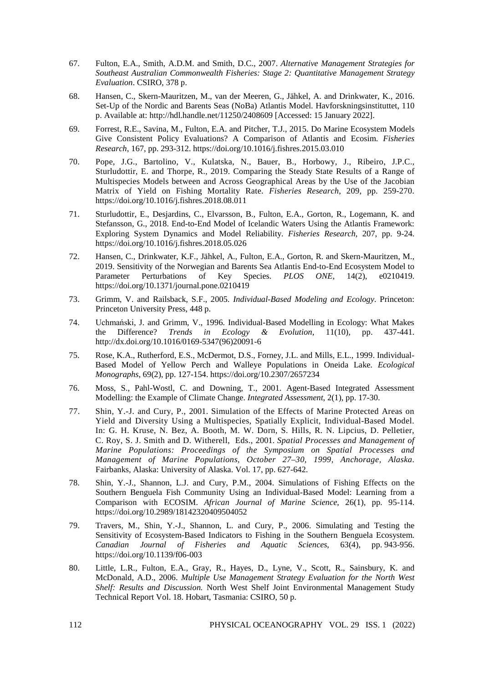- 67. Fulton, E.A., Smith, A.D.M. and Smith, D.C., 2007. *Alternative Management Strategies for Southeast Australian Commonwealth Fisheries: Stage 2: Quantitative Management Strategy Evaluation*. CSIRO, 378 p.
- 68. Hansen, C., Skern-Mauritzen, M., van der Meeren, G., Jähkel, A. and Drinkwater, K., 2016. Set-Up of the Nordic and Barents Seas (NoBa) Atlantis Model. Havforskningsinstituttet, 110 p. Available at[: http://hdl.handle.net/11250/2408609](http://hdl.handle.net/11250/2408609) [Accessed: 15 January 2022].
- 69. Forrest, R.E., Savina, M., Fulton, E.A. and Pitcher, T.J., 2015. Do Marine Ecosystem Models Give Consistent Policy Evaluations? A Comparison of Atlantis and Ecosim. *Fisheries Research*, 167, pp. 293-312. https://doi.org/10.1016/j.fishres.2015.03.010
- 70. Pope, J.G., Bartolino, V., Kulatska, N., Bauer, B., Horbowy, J., Ribeiro, J.P.C., Sturludottir, E. and Thorpe, R., 2019. Comparing the Steady State Results of a Range of Multispecies Models between and Across Geographical Areas by the Use of the Jacobian Matrix of Yield on Fishing Mortality Rate. *Fisheries Research*, 209, pp. 259-270. <https://doi.org/10.1016/j.fishres.2018.08.011>
- 71. Sturludottir, E., Desjardins, C., Elvarsson, B., Fulton, E.A., Gorton, R., Logemann, K. and Stefansson, G., 2018. End-to-End Model of Icelandic Waters Using the Atlantis Framework: Exploring System Dynamics and Model Reliability. *Fisheries Research*, 207, pp. 9-24. https://doi.org/10.1016/j.fishres.2018.05.026
- 72. Hansen, C., Drinkwater, K.F., Jähkel, A., Fulton, E.A., Gorton, R. and Skern-Mauritzen, M., 2019. Sensitivity of the Norwegian and Barents Sea Atlantis End-to-End Ecosystem Model to<br>
Parameter Perturbations of Kev Species. *PLOS ONE*. 14(2). e0210419. of Key Species. <https://doi.org/10.1371/journal.pone.0210419>
- 73. Grimm, V. and Railsback, S.F., 2005. *Individual-Based Modeling and Ecology*. Princeton: Princeton University Press, 448 p.
- 74. Uchmański, J. and Grimm, V., 1996. Individual-Based Modelling in Ecology: What Makes the Difference? *Trends in Ecology & Evolution*, 11(10), pp. 437-441. http://dx.doi.org/10.1016/0169-5347(96)20091-6
- 75. Rose, K.A., Rutherford, E.S., McDermot, D.S., Forney, J.L. and Mills, E.L., 1999. Individual-Based Model of Yellow Perch and Walleye Populations in Oneida Lake. *Ecological Monographs*, 69(2), pp. 127-154. https://doi.org/10.2307/2657234
- 76. Moss, S., Pahl-Wostl, C. and Downing, T., 2001. Agent-Based Integrated Assessment Modelling: the Example of Climate Change. *Integrated Assessment*, 2(1), pp. 17-30.
- 77. Shin, Y.-J. and Cury, P., 2001. Simulation of the Effects of Marine Protected Areas on Yield and Diversity Using a Multispecies, Spatially Explicit, Individual-Based Model. In: G. H. Kruse, N. Bez, A. Booth, M. W. Dorn, S. Hills, R. N. Lipcius, D. Pelletier, C. Roy, S. J. Smith and D. Witherell, Eds., 2001. *Spatial Processes and Management of Marine Populations: Proceedings of the Symposium on Spatial Processes and Management of Marine Populations, October 27–30, 1999, Anchorage, Alaska*. Fairbanks, Alaska: University of Alaska. Vol. 17, pp. 627-642.
- 78. Shin, Y.-J., Shannon, L.J. and Cury, P.M., 2004. Simulations of Fishing Effects on the Southern Benguela Fish Community Using an Individual-Based Model: Learning from a Comparison with ECOSIM. *African Journal of Marine Science*, 26(1), pp. 95-114. https://doi.org/10.2989/18142320409504052
- 79. Travers, M., Shin, Y.-J., Shannon, L. and Cury, P., 2006. Simulating and Testing the Sensitivity of Ecosystem-Based Indicators to Fishing in the Southern Benguela Ecosystem. *Canadian Journal of Fisheries and Aquatic Sciences*, 63(4), pp. 943-956. https://doi.org/10.1139/f06-003
- 80. Little, L.R., Fulton, E.A., Gray, R., Hayes, D., Lyne, V., Scott, R., Sainsbury, K. and McDonald, A.D., 2006. *Multiple Use Management Strategy Evaluation for the North West Shelf: Results and Discussion.* North West Shelf Joint Environmental Management Study Technical Report Vol. 18. Hobart, Tasmania: CSIRO, 50 p.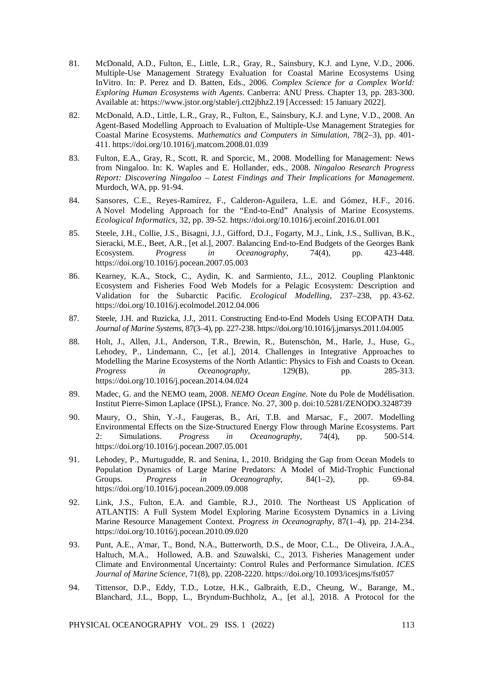- 81. McDonald, A.D., Fulton, E., Little, L.R., Gray, R., Sainsbury, K.J. and Lyne, V.D., 2006. Multiple-Use Management Strategy Evaluation for Coastal Marine Ecosystems Using InVitro. In: P. Perez and D. Batten, Eds., 2006. *Complex Science for a Complex World: Exploring Human Ecosystems with Agents*. Canberra: ANU Press. Chapter 13, pp. 283-300. Available at: <https://www.jstor.org/stable/j.ctt2jbhz2.19> [Accessed: 15 January 2022].
- 82. McDonald, A.D., Little, L.R., Gray, R., Fulton, E., Sainsbury, K.J. and Lyne, V.D., 2008. An Agent-Based Modelling Approach to Evaluation of Multiple-Use Management Strategies for Coastal Marine Ecosystems. *Mathematics and Computers in Simulation*, 78(2–3), pp. 401- 411. https://doi.org/10.1016/j.matcom.2008.01.039
- 83. Fulton, E.A., Gray, R., Scott, R. and Sporcic, M., 2008. Modelling for Management: News from Ningaloo. In: K. Waples and E. Hollander, eds., 2008. *Ningaloo Research Progress Report: Discovering Ningaloo – Latest Findings and Their Implications for Management*. Murdoch, WA, pp. 91-94.
- 84. Sansores, C.E., Reyes-Ramírez, F., Calderon-Aguilera, L.E. and Gómez, H.F., 2016. A Novel Modeling Approach for the "End-to-End" Analysis of Marine Ecosystems. *Ecological Informatics*, 32, pp. 39-52. https://doi.org/10.1016/j.ecoinf.2016.01.001
- 85. Steele, J.H., Collie, J.S., Bisagni, J.J., Gifford, D.J., Fogarty, M.J., Link, J.S., Sullivan, B.K., Sieracki, M.E., Beet, A.R., [et al.], 2007. Balancing End-to-End Budgets of the Georges Bank<br>Ecosystem. Progress in Oceanography, 74(4), pp. 423-448. Ecosystem. *Progress in Oceanography*, 74(4), pp. 423-448. https://doi.org/10.1016/j.pocean.2007.05.003
- 86. Kearney, K.A., Stock, C., Aydin, K. and Sarmiento, J.L., 2012. Coupling Planktonic Ecosystem and Fisheries Food Web Models for a Pelagic Ecosystem: Description and Validation for the Subarctic Pacific. *Ecological Modelling*, 237–238, pp. 43-62. https://doi.org/10.1016/j.ecolmodel.2012.04.006
- 87. Steele, J.H. and Ruzicka, J.J., 2011. Constructing End-to-End Models Using ECOPATH Data. *Journal of Marine Systems*, 87(3–4), pp. 227-238. https://doi.org/10.1016/j.jmarsys.2011.04.005
- 88. Holt, J., Allen, J.I., Anderson, T.R., Brewin, R., Butenschön, M., Harle, J., Huse, G., Lehodey, P., Lindemann, C., [et al.], 2014. Challenges in Integrative Approaches to Modelling the Marine Ecosystems of the North Atlantic: Physics to Fish and Coasts to Ocean. *Progress in Oceanography*, 129(B), pp. 285-313. https://doi.org/10.1016/j.pocean.2014.04.024
- 89. Madec, G. and the NEMO team, 2008. *NEMO Ocean Engine*. Note du Pole de Modélisation. Institut Pierre-Simon Laplace (IPSL), France. No. 27, 300 p. doi:10.5281/ZENODO.3248739
- 90. Maury, O., Shin, Y.-J., Faugeras, B., Ari, T.B. and Marsac, F., 2007. Modelling Environmental Effects on the Size-Structured Energy Flow through Marine Ecosystems. Part 2: Simulations. *Progress in Oceanography*, 74(4), pp. 500-514. https://doi.org/10.1016/j.pocean.2007.05.001
- 91. Lehodey, P., Murtugudde, R. and Senina, I., 2010. Bridging the Gap from Ocean Models to Population Dynamics of Large Marine Predators: A Model of Mid-Trophic Functional Groups. *Progress in Oceanography*, 84(1–2), pp. 69-84. https://doi.org/10.1016/j.pocean.2009.09.008
- 92. Link, J.S., Fulton, E.A. and Gamble, R.J., 2010. The Northeast US Application of ATLANTIS: A Full System Model Exploring Marine Ecosystem Dynamics in a Living Marine Resource Management Context. *Progress in Oceanography*, 87(1–4), pp. 214-234. https://doi.org/10.1016/j.pocean.2010.09.020
- 93. Punt, A.E., A'mar, T., Bond, N.A., Butterworth, D.S., de Moor, C.L., De Oliveira, J.A.A., Haltuch, M.A., Hollowed, A.B. and Szuwalski, C., 2013. Fisheries Management under Climate and Environmental Uncertainty: Control Rules and Performance Simulation. *ICES Journal of Marine Science*, 71(8), pp. 2208-2220. https://doi.org/10.1093/icesjms/fst057
- 94. Tittensor, D.P., Eddy, T.D., Lotze, H.K., Galbraith, E.D., Cheung, W., Barange, M., Blanchard, J.L., Bopp, L., Bryndum-Buchholz, A., [et al.], 2018. A Protocol for the